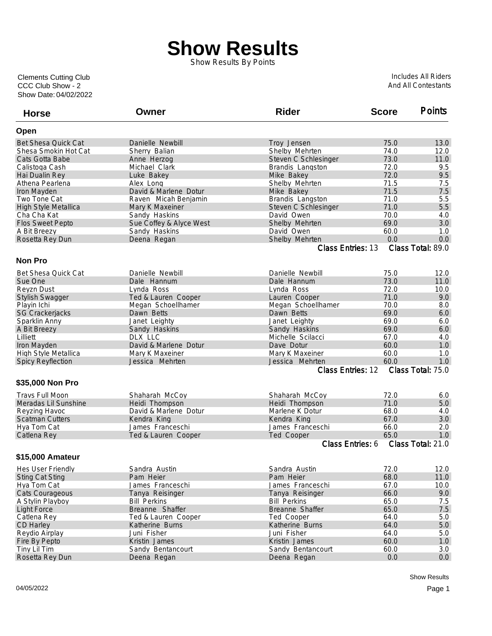## **Show Results**

Show Results By Points

Show Date: 04/02/2022 CCC Club Show - 2 Clements Cutting Club

Includes All Riders And All Contestants

| <b>Horse</b>               | Owner                   | <b>Rider</b>                         | <b>Score</b> | <b>Points</b>            |
|----------------------------|-------------------------|--------------------------------------|--------------|--------------------------|
| Open                       |                         |                                      |              |                          |
| <b>Bet Shesa Quick Cat</b> | Danielle Newbill        | Troy Jensen                          | 75.0         | 13.0                     |
| Shesa Smokin Hot Cat       | Sherry Balian           | Shelby Mehrten                       | 74.0         | 12.0                     |
| Cats Gotta Babe            | Anne Herzog             | Steven C Schlesinger                 | 73.0         | 11.0                     |
| Calistoga Cash             | Michael Clark           | Brandis Langston                     | 72.0         | 9.5                      |
| Hai Dualin Rey             | Luke Bakey              | Mike Bakey                           | 72.0         | 9.5                      |
| Athena Pearlena            | Alex Long               | Shelby Mehrten                       | 71.5         | 7.5                      |
| Iron Mayden                | David & Marlene Dotur   | Mike Bakey                           | 71.5         | 7.5                      |
| Two Tone Cat               | Raven Micah Benjamin    | Brandis Langston                     | 71.0         | 5.5                      |
| High Style Metallica       | Mary K Maxeiner         | Steven C Schlesinger                 | 71.0         | 5.5                      |
| Cha Cha Kat                | Sandy Haskins           | David Owen                           | 70.0         | 4.0                      |
| <b>Flos Sweet Pepto</b>    | Sue Coffey & Alyce West | Shelby Mehrten                       | 69.0         | 3.0                      |
| A Bit Breezy               | Sandy Haskins           | David Owen                           | 60.0         | 1.0                      |
| Rosetta Rey Dun            | Deena Regan             | Shelby Mehrten                       | 0.0          | 0.0                      |
|                            |                         | Class Entries: 13                    |              | Class Total: 89.0        |
| <b>Non Pro</b>             |                         |                                      |              |                          |
| <b>Bet Shesa Quick Cat</b> | Danielle Newbill        | Danielle Newbill                     | 75.0         | 12.0                     |
| Sue One                    | Dale Hannum             | Dale Hannum                          | 73.0         | 11.0                     |
| <b>Revzn Dust</b>          | Lynda Ross              | Lynda Ross                           | 72.0         | 10.0                     |
| <b>Stylish Swagger</b>     | Ted & Lauren Cooper     |                                      | 71.0         | 9.0                      |
|                            |                         | Lauren Cooper                        | 70.0         |                          |
| Playin Ichi                | Megan Schoellhamer      | Megan Schoellhamer                   |              | 8.0                      |
| <b>SG Crackerjacks</b>     | Dawn Betts              | Dawn Betts                           | 69.0<br>69.0 | 6.0<br>6.0               |
| Sparklin Anny              | Janet Leighty           | Janet Leighty                        |              |                          |
| A Bit Breezy               | Sandy Haskins           | Sandy Haskins                        | 69.0         | 6.0                      |
| Lilliett                   | DLX LLC                 | Michelle Scilacci                    | 67.0         | 4.0                      |
| Iron Mayden                | David & Marlene Dotur   | Dave Dotur                           | 60.0         | 1.0                      |
| High Style Metallica       | Mary K Maxeiner         | Mary K Maxeiner                      | 60.0         | 1.0                      |
| <b>Spicy Reyflection</b>   | Jessica Mehrten         | Jessica Mehrten<br>Class Entries: 12 | 60.0         | 1.0<br>Class Total: 75.0 |
| \$35,000 Non Pro           |                         |                                      |              |                          |
|                            |                         |                                      |              |                          |
| <b>Travs Full Moon</b>     | Shaharah McCoy          | Shaharah McCoy                       | 72.0         | 6.0                      |
| Meradas Lil Sunshine       | Heidi Thompson          | Heidi Thompson                       | 71.0         | 5.0                      |
| Reyzing Havoc              | David & Marlene Dotur   | Marlene K Dotur                      | 68.0         | 4.0                      |
| <b>Scatman Cutters</b>     | Kendra King             | Kendra King                          | 67.0         | 3.0                      |
| Hya Tom Cat                | James Franceschi        | James Franceschi                     | 66.0         | 2.0                      |
| Catlena Rey                | Ted & Lauren Cooper     | Ted Cooper                           | 65.0         | 1.0                      |
|                            |                         | Class Entries: 6                     |              | Class Total: 21.0        |
| \$15,000 Amateur           |                         |                                      |              |                          |
| Hes User Friendly          | Sandra Austin           | Sandra Austin                        | 72.0         | 12.0                     |
| <b>Sting Cat Sting</b>     | Pam Heier               | Pam Heier                            | 68.0         | 11.0                     |
| Hya Tom Cat                | James Franceschi        | James Franceschi                     | 67.0         | 10.0                     |
| Cats Courageous            | Tanya Reisinger         | Tanya Reisinger                      | 66.0         | 9.0                      |
| A Stylin Playboy           | <b>Bill Perkins</b>     | <b>Bill Perkins</b>                  | 65.0         | 7.5                      |
| <b>Light Force</b>         | Breanne Shaffer         | Breanne Shaffer                      | 65.0         | 7.5                      |
| Catlena Rey                | Ted & Lauren Cooper     | Ted Cooper                           | 64.0         | 5.0                      |
| CD Harley                  | Katherine Burns         | Katherine Burns                      | 64.0         | 5.0                      |
| Reydio Airplay             | Juni Fisher             | Juni Fisher                          | 64.0         | 5.0                      |
| Fire By Pepto              | Kristin James           | Kristin James                        | 60.0         | 1.0                      |
| Tiny Lil Tim               | Sandy Bentancourt       | Sandy Bentancourt                    | 60.0         | 3.0                      |
| Rosetta Rey Dun            | Deena Regan             | Deena Regan                          | 0.0          | 0.0                      |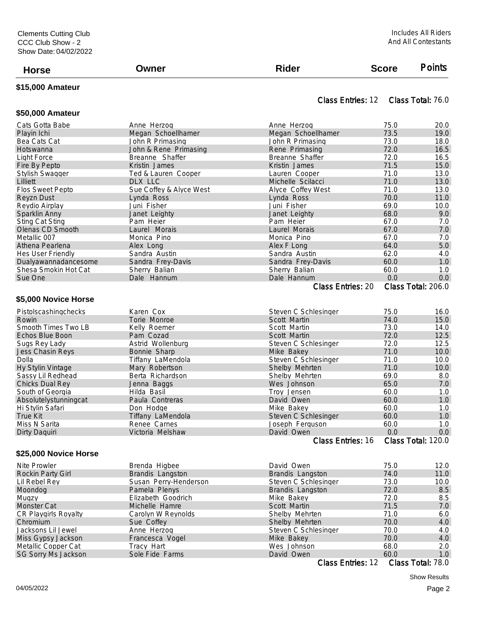| <b>Horse</b>                                                              | Owner | <b>Rider</b> | <b>Score</b> | <b>Points</b> |
|---------------------------------------------------------------------------|-------|--------------|--------------|---------------|
| $\bullet \bullet \bullet \bullet \bullet \bullet \bullet \bullet \bullet$ |       |              |              |               |

## **\$15,000 Amateur**

**\$50,000 Amateur**

## Class Entries: 12 Class Total: 76.0

| Cats Gotta Babe          | Anne Herzog             | Anne Herzog              | 75.0 | 20.0               |
|--------------------------|-------------------------|--------------------------|------|--------------------|
| Playin Ichi              | Megan Schoellhamer      | Megan Schoellhamer       | 73.5 | 19.0               |
| Bea Cats Cat             | John R Primasing        | John R Primasing         | 73.0 | 18.0               |
| Hotswanna                | John & Rene Primasing   | Rene Primasing           | 72.0 | 16.5               |
| Light Force              | Breanne Shaffer         | Breanne Shaffer          | 72.0 | 16.5               |
| Fire By Pepto            | Kristin James           | Kristin James            | 71.5 | 15.0               |
| <b>Stylish Swagger</b>   | Ted & Lauren Cooper     | Lauren Cooper            | 71.0 | 13.0               |
| Lilliett                 | DLX LLC                 | Michelle Scilacci        | 71.0 | 13.0               |
| Flos Sweet Pepto         | Sue Coffey & Alyce West | Alyce Coffey West        | 71.0 | 13.0               |
| <b>Reyzn Dust</b>        | Lynda Ross              | Lynda Ross               | 70.0 | 11.0               |
| Reydio Airplay           | Juni Fisher             | Juni Fisher              | 69.0 | 10.0               |
| Sparklin Anny            | Janet Leighty           | Janet Leighty            | 68.0 | 9.0                |
| <b>Sting Cat Sting</b>   | Pam Heier               | Pam Heier                | 67.0 | 7.0                |
| Olenas CD Smooth         | Laurel Morais           | Laurel Morais            | 67.0 | 7.0                |
| Metallic 007             | Monica Pino             | Monica Pino              | 67.0 | 7.0                |
| Athena Pearlena          | Alex Long               | Alex F Long              | 64.0 | 5.0                |
| Hes User Friendly        | Sandra Austin           | Sandra Austin            | 62.0 | 4.0                |
| Dualyawannadancesome     | Sandra Frey-Davis       | Sandra Frey-Davis        | 60.0 | 1.0                |
| Shesa Smokin Hot Cat     | Sherry Balian           | Sherry Balian            | 60.0 | 1.0                |
| Sue One                  | Dale Hannum             | Dale Hannum              | 0.0  | 0.0                |
|                          |                         | <b>Class Entries: 20</b> |      | Class Total: 206.0 |
|                          |                         |                          |      |                    |
| \$5,000 Novice Horse     |                         |                          |      |                    |
| Pistolscashingchecks     | Karen Cox               | Steven C Schlesinger     | 75.0 | 16.0               |
| Rowin                    | Torie Monroe            | Scott Martin             | 74.0 | 15.0               |
| Smooth Times Two LB      | Kelly Roemer            | Scott Martin             | 73.0 | 14.0               |
| Echos Blue Boon          | Pam Cozad               | Scott Martin             | 72.0 | 12.5               |
| Sugs Rey Lady            | Astrid Wollenburg       | Steven C Schlesinger     | 72.0 | 12.5               |
| Jess Chasin Reys         | Bonnie Sharp            | Mike Bakey               | 71.0 | 10.0               |
| Dolla                    | Tiffany LaMendola       | Steven C Schlesinger     | 71.0 | 10.0               |
| Hy Stylin Vintage        | Mary Robertson          | Shelby Mehrten           | 71.0 | 10.0               |
| Sassy Lil Redhead        | Berta Richardson        | Shelby Mehrten           | 69.0 | 8.0                |
| Chicks Dual Rey          | Jenna Baggs             | Wes Johnson              | 65.0 | 7.0                |
| South of Georgia         | Hilda Basil             | Troy Jensen              | 60.0 | 1.0                |
| Absolutelystunningcat    | Paula Contreras         | David Owen               | 60.0 | 1.0                |
| Hi Stylin Safari         | Don Hodge               | Mike Bakey               | 60.0 | 1.0                |
| <b>True Kit</b>          | Tiffany LaMendola       | Steven C Schlesinger     | 60.0 | 1.0                |
| Miss N Sarita            | Renee Carnes            | Joseph Ferguson          | 60.0 | 1.0                |
| Dirty Daquiri            | Victoria Melshaw        | David Owen               | 0.0  | 0.0                |
|                          |                         | Class Entries: 16        |      | Class Total: 120.0 |
|                          |                         |                          |      |                    |
| \$25,000 Novice Horse    |                         |                          |      |                    |
| Nite Prowler             | Brenda Higbee           | David Owen               | 75.0 | 12.0               |
| <b>Rockin Party Girl</b> | Brandis Langston        | Brandis Langston         | 74.0 | 11.0               |
| Lil Rebel Rey            | Susan Perry-Henderson   | Steven C Schlesinger     | 73.0 | 10.0               |
| Moondog                  | Pamela Plenys           | Brandis Langston         | 72.0 | 8.5                |
| Mugzy                    | Elizabeth Goodrich      | Mike Bakey               | 72.0 | 8.5                |
| <b>Monster Cat</b>       | Michelle Hamre          | Scott Martin             | 71.5 | 7.0                |
| CR Playgirls Royalty     | Carolyn W Reynolds      | Shelby Mehrten           | 71.0 | 6.0                |
|                          |                         |                          |      |                    |

Chromium Sue Coffey Shelby Mehrten 70.0 4.0 Jacksons Lil Jewel Anne Herzog Steven C Schlesinger 70.0 4.0 Miss Gypsy Jackson Francesca Vogel Mike Bakey 70.0 4.0 Metallic Copper Cat Tracy Hart Wes Johnson 68.0 2.0 SG Sorry Ms Jackson Sole Fide Farms David Owen 60.0 1.0<br>Class Entries: 12 Class Total: 78.0

Class Entries: 12

Show Results